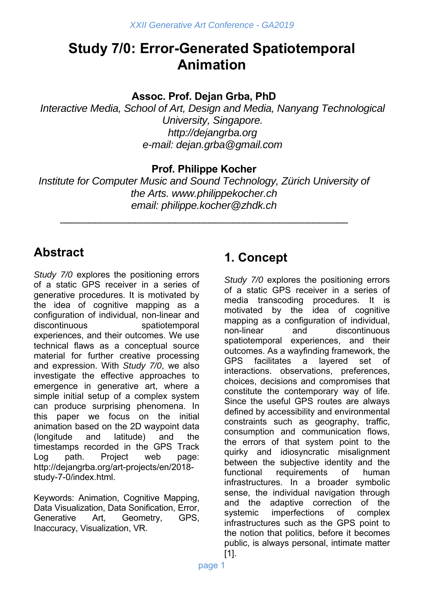# **Study 7/0: Error-Generated Spatiotemporal Animation**

**Assoc. Prof. Dejan Grba, PhD** 

*Interactive Media, School of Art, Design and Media, Nanyang Technological University, Singapore. http://dejangrba.org e-mail: dejan.grba@gmail.com* 

#### **Prof. Philippe Kocher**

*Institute for Computer Music and Sound Technology, Zürich University of the Arts. www.philippekocher.ch email: philippe.kocher@zhdk.ch* 

\_\_\_\_\_\_\_\_\_\_\_\_\_\_\_\_\_\_\_\_\_\_\_\_\_\_\_\_\_\_\_\_\_\_\_\_\_\_\_\_\_\_\_\_\_\_\_\_\_\_

## **Abstract**

*Study 7/0* explores the positioning errors of a static GPS receiver in a series of generative procedures. It is motivated by the idea of cognitive mapping as a configuration of individual, non-linear and discontinuous spatiotemporal experiences, and their outcomes. We use technical flaws as a conceptual source material for further creative processing and expression. With *Study 7/0*, we also investigate the effective approaches to emergence in generative art, where a simple initial setup of a complex system can produce surprising phenomena. In this paper we focus on the initial animation based on the 2D waypoint data (longitude and latitude) and the timestamps recorded in the GPS Track Log path. Project web page: http://dejangrba.org/art-projects/en/2018 study-7-0/index.html.

Keywords: Animation, Cognitive Mapping, Data Visualization, Data Sonification, Error, Generative Art, Geometry, GPS, Inaccuracy, Visualization, VR.

## **1. Concept**

*Study 7/0* explores the positioning errors of a static GPS receiver in a series of media transcoding procedures. It is motivated by the idea of cognitive mapping as a configuration of individual, non-linear and discontinuous spatiotemporal experiences, and their outcomes. As a wayfinding framework, the GPS facilitates a layered set of interactions. observations, preferences, choices, decisions and compromises that constitute the contemporary way of life. Since the useful GPS routes are always defined by accessibility and environmental constraints such as geography, traffic, consumption and communication flows, the errors of that system point to the quirky and idiosyncratic misalignment between the subjective identity and the functional requirements of human infrastructures. In a broader symbolic sense, the individual navigation through and the adaptive correction of the systemic imperfections of complex infrastructures such as the GPS point to the notion that politics, before it becomes public, is always personal, intimate matter [1].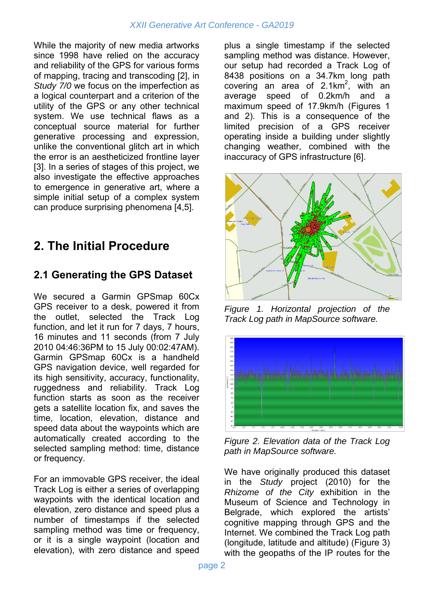While the majority of new media artworks since 1998 have relied on the accuracy and reliability of the GPS for various forms of mapping, tracing and transcoding [2], in *Study 7/0* we focus on the imperfection as a logical counterpart and a criterion of the utility of the GPS or any other technical system. We use technical flaws as a conceptual source material for further generative processing and expression, unlike the conventional glitch art in which the error is an aestheticized frontline layer [3]. In a series of stages of this project, we also investigate the effective approaches to emergence in generative art, where a simple initial setup of a complex system can produce surprising phenomena [4,5].

## **2. The Initial Procedure**

#### **2.1 Generating the GPS Dataset**

We secured a Garmin GPSmap 60Cx GPS receiver to a desk, powered it from the outlet, selected the Track Log function, and let it run for 7 days, 7 hours, 16 minutes and 11 seconds (from 7 July 2010 04:46:36PM to 15 July 00:02:47AM). Garmin GPSmap 60Cx is a handheld GPS navigation device, well regarded for its high sensitivity, accuracy, functionality, ruggedness and reliability. Track Log function starts as soon as the receiver gets a satellite location fix, and saves the time, location, elevation, distance and speed data about the waypoints which are automatically created according to the selected sampling method: time, distance or frequency.

For an immovable GPS receiver, the ideal Track Log is either a series of overlapping waypoints with the identical location and elevation, zero distance and speed plus a number of timestamps if the selected sampling method was time or frequency, or it is a single waypoint (location and elevation), with zero distance and speed

plus a single timestamp if the selected sampling method was distance. However, our setup had recorded a Track Log of 8438 positions on a 34.7km long path covering an area of  $2.1 \text{km}^2$ , with an average speed of 0.2km/h and a maximum speed of 17.9km/h (Figures 1 and 2). This is a consequence of the limited precision of a GPS receiver operating inside a building under slightly changing weather, combined with the inaccuracy of GPS infrastructure [6].



*Figure 1. Horizontal projection of the Track Log path in MapSource software.* 



*Figure 2. Elevation data of the Track Log path in MapSource software.* 

We have originally produced this dataset in the *Study* project (2010) for the *Rhizome of the City* exhibition in the Museum of Science and Technology in Belgrade, which explored the artists' cognitive mapping through GPS and the Internet. We combined the Track Log path (longitude, latitude and altitude) (Figure 3) with the geopaths of the IP routes for the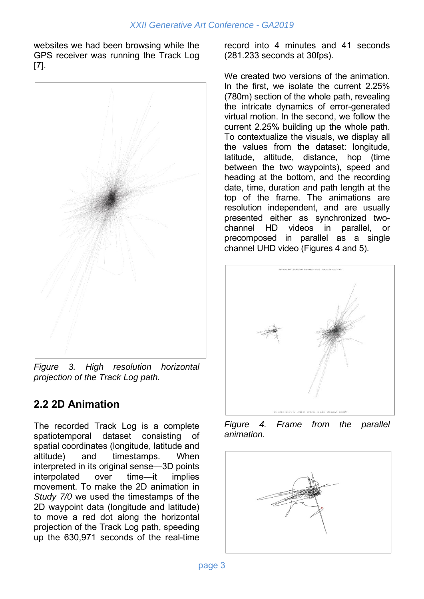websites we had been browsing while the GPS receiver was running the Track Log [7].



*Figure 3. High resolution horizontal projection of the Track Log path.* 

### **2.2 2D Animation**

The recorded Track Log is a complete spatiotemporal dataset consisting of spatial coordinates (longitude, latitude and altitude) and timestamps. When interpreted in its original sense—3D points interpolated over time—it implies movement. To make the 2D animation in *Study 7/0* we used the timestamps of the 2D waypoint data (longitude and latitude) to move a red dot along the horizontal projection of the Track Log path, speeding up the 630,971 seconds of the real-time

record into 4 minutes and 41 seconds (281.233 seconds at 30fps).

We created two versions of the animation. In the first, we isolate the current 2.25% (780m) section of the whole path, revealing the intricate dynamics of error-generated virtual motion. In the second, we follow the current 2.25% building up the whole path. To contextualize the visuals, we display all the values from the dataset: longitude, latitude, altitude, distance, hop (time between the two waypoints), speed and heading at the bottom, and the recording date, time, duration and path length at the top of the frame. The animations are resolution independent, and are usually presented either as synchronized twochannel HD videos in parallel, or precomposed in parallel as a single channel UHD video (Figures 4 and 5).



*Figure 4. Frame from the parallel animation.* 

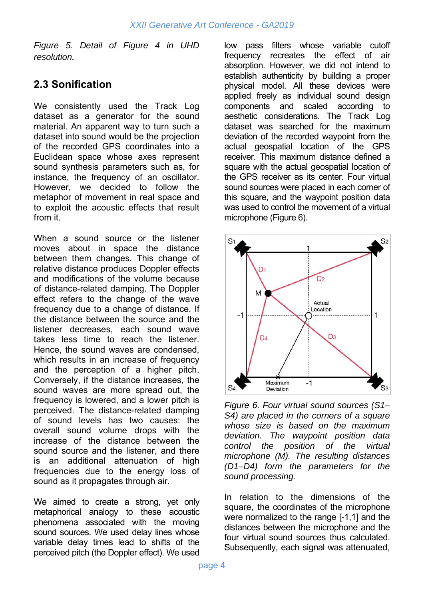*Figure 5. Detail of Figure 4 in UHD resolution.* 

### **2.3 Sonification**

We consistently used the Track Log dataset as a generator for the sound material. An apparent way to turn such a dataset into sound would be the projection of the recorded GPS coordinates into a Euclidean space whose axes represent sound synthesis parameters such as, for instance, the frequency of an oscillator. However, we decided to follow the metaphor of movement in real space and to exploit the acoustic effects that result from it.

When a sound source or the listener moves about in space the distance between them changes. This change of relative distance produces Doppler effects and modifications of the volume because of distance-related damping. The Doppler effect refers to the change of the wave frequency due to a change of distance. If the distance between the source and the listener decreases, each sound wave takes less time to reach the listener. Hence, the sound waves are condensed, which results in an increase of frequency and the perception of a higher pitch. Conversely, if the distance increases, the sound waves are more spread out, the frequency is lowered, and a lower pitch is perceived. The distance-related damping of sound levels has two causes: the overall sound volume drops with the increase of the distance between the sound source and the listener, and there is an additional attenuation of high frequencies due to the energy loss of sound as it propagates through air.

We aimed to create a strong, yet only metaphorical analogy to these acoustic phenomena associated with the moving sound sources. We used delay lines whose variable delay times lead to shifts of the perceived pitch (the Doppler effect). We used low pass filters whose variable cutoff frequency recreates the effect of air absorption. However, we did not intend to establish authenticity by building a proper physical model. All these devices were applied freely as individual sound design components and scaled according to aesthetic considerations. The Track Log dataset was searched for the maximum deviation of the recorded waypoint from the actual geospatial location of the GPS receiver. This maximum distance defined a square with the actual geospatial location of the GPS receiver as its center. Four virtual sound sources were placed in each corner of this square, and the waypoint position data was used to control the movement of a virtual microphone (Figure 6).



*Figure 6. Four virtual sound sources (S1– S4) are placed in the corners of a square whose size is based on the maximum deviation. The waypoint position data control the position of the virtual microphone (M). The resulting distances (D1–D4) form the parameters for the sound processing.* 

In relation to the dimensions of the square, the coordinates of the microphone were normalized to the range [-1,1] and the distances between the microphone and the four virtual sound sources thus calculated. Subsequently, each signal was attenuated,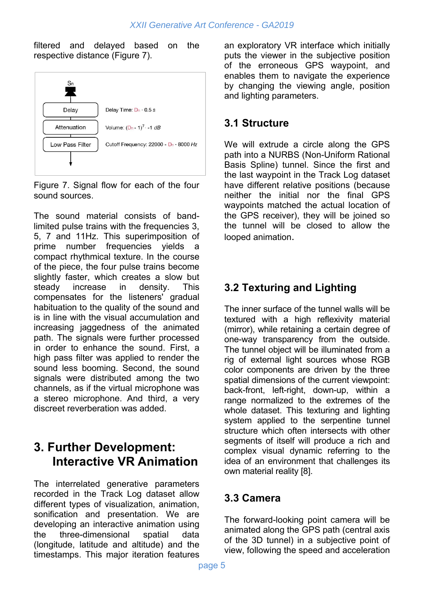filtered and delayed based on the respective distance (Figure 7).



Figure 7. Signal flow for each of the four sound sources.

The sound material consists of bandlimited pulse trains with the frequencies 3, 5, 7 and 11Hz. This superimposition of prime number frequencies yields a compact rhythmical texture. In the course of the piece, the four pulse trains become slightly faster, which creates a slow but steady increase in density. This compensates for the listeners' gradual habituation to the quality of the sound and is in line with the visual accumulation and increasing jaggedness of the animated path. The signals were further processed in order to enhance the sound. First, a high pass filter was applied to render the sound less booming. Second, the sound signals were distributed among the two channels, as if the virtual microphone was a stereo microphone. And third, a very discreet reverberation was added.

## **3. Further Development: Interactive VR Animation**

The interrelated generative parameters recorded in the Track Log dataset allow different types of visualization, animation, sonification and presentation. We are developing an interactive animation using the three-dimensional spatial data (longitude, latitude and altitude) and the timestamps. This major iteration features

an exploratory VR interface which initially puts the viewer in the subjective position of the erroneous GPS waypoint, and enables them to navigate the experience by changing the viewing angle, position and lighting parameters.

#### **3.1 Structure**

We will extrude a circle along the GPS path into a NURBS (Non-Uniform Rational Basis Spline) tunnel. Since the first and the last waypoint in the Track Log dataset have different relative positions (because neither the initial nor the final GPS waypoints matched the actual location of the GPS receiver), they will be joined so the tunnel will be closed to allow the looped animation.

### **3.2 Texturing and Lighting**

The inner surface of the tunnel walls will be textured with a high reflexivity material (mirror), while retaining a certain degree of one-way transparency from the outside. The tunnel object will be illuminated from a rig of external light sources whose RGB color components are driven by the three spatial dimensions of the current viewpoint: back-front, left-right, down-up, within a range normalized to the extremes of the whole dataset. This texturing and lighting system applied to the serpentine tunnel structure which often intersects with other segments of itself will produce a rich and complex visual dynamic referring to the idea of an environment that challenges its own material reality [8].

#### **3.3 Camera**

The forward-looking point camera will be animated along the GPS path (central axis of the 3D tunnel) in a subjective point of view, following the speed and acceleration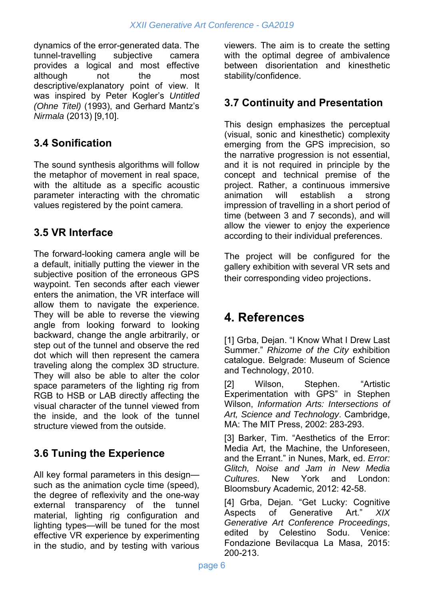dynamics of the error-generated data. The tunnel-travelling subjective camera provides a logical and most effective although not the most descriptive/explanatory point of view. It was inspired by Peter Kogler's *Untitled (Ohne Titel)* (1993), and Gerhard Mantz's *Nirmala* (2013) [9,10].

## **3.4 Sonification**

The sound synthesis algorithms will follow the metaphor of movement in real space, with the altitude as a specific acoustic parameter interacting with the chromatic values registered by the point camera.

### **3.5 VR Interface**

The forward-looking camera angle will be a default, initially putting the viewer in the subjective position of the erroneous GPS waypoint. Ten seconds after each viewer enters the animation, the VR interface will allow them to navigate the experience. They will be able to reverse the viewing angle from looking forward to looking backward, change the angle arbitrarily, or step out of the tunnel and observe the red dot which will then represent the camera traveling along the complex 3D structure. They will also be able to alter the color space parameters of the lighting rig from RGB to HSB or LAB directly affecting the visual character of the tunnel viewed from the inside, and the look of the tunnel structure viewed from the outside.

## **3.6 Tuning the Experience**

All key formal parameters in this design such as the animation cycle time (speed), the degree of reflexivity and the one-way external transparency of the tunnel material, lighting rig configuration and lighting types—will be tuned for the most effective VR experience by experimenting in the studio, and by testing with various viewers. The aim is to create the setting with the optimal degree of ambivalence between disorientation and kinesthetic stability/confidence.

### **3.7 Continuity and Presentation**

This design emphasizes the perceptual (visual, sonic and kinesthetic) complexity emerging from the GPS imprecision, so the narrative progression is not essential, and it is not required in principle by the concept and technical premise of the project. Rather, a continuous immersive animation will establish a strong impression of travelling in a short period of time (between 3 and 7 seconds), and will allow the viewer to enjoy the experience according to their individual preferences.

The project will be configured for the gallery exhibition with several VR sets and their corresponding video projections.

## **4. References**

[1] Grba, Dejan. "I Know What I Drew Last Summer." *Rhizome of the City* exhibition catalogue. Belgrade: Museum of Science and Technology, 2010.

[2] Wilson, Stephen. "Artistic Experimentation with GPS" in Stephen Wilson, *Information Arts: Intersections of Art, Science and Technology*. Cambridge, MA: The MIT Press, 2002: 283-293.

[3] Barker, Tim. "Aesthetics of the Error: Media Art, the Machine, the Unforeseen, and the Errant." in Nunes, Mark, ed. *Error: Glitch, Noise and Jam in New Media Cultures*. New York and London: Bloomsbury Academic, 2012: 42-58.

[4] Grba, Dejan. "Get Lucky: Cognitive Aspects of Generative Art." *XIX Generative Art Conference Proceedings*, edited by Celestino Sodu. Venice: Fondazione Bevilacqua La Masa, 2015: 200-213.